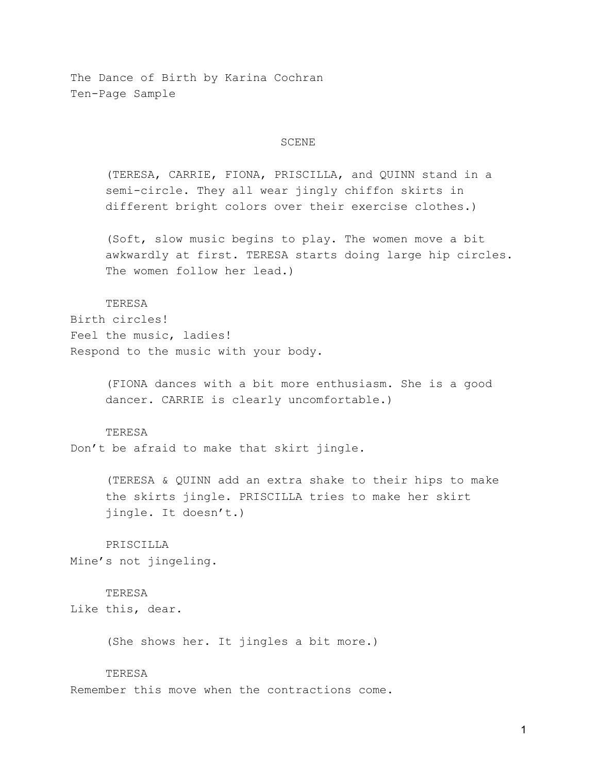The Dance of Birth by Karina Cochran Ten-Page Sample

#### SCENE

(TERESA, CARRIE, FIONA, PRISCILLA, and QUINN stand in a semi-circle. They all wear jingly chiffon skirts in different bright colors over their exercise clothes.)

(Soft, slow music begins to play. The women move a bit awkwardly at first. TERESA starts doing large hip circles. The women follow her lead.)

## TERESA

Birth circles! Feel the music, ladies! Respond to the music with your body.

> (FIONA dances with a bit more enthusiasm. She is a good dancer. CARRIE is clearly uncomfortable.)

#### TERESA

Don't be afraid to make that skirt jingle.

(TERESA & QUINN add an extra shake to their hips to make the skirts jingle. PRISCILLA tries to make her skirt jingle. It doesn't.)

PRISCILLA Mine's not jingeling.

## TERESA

Like this, dear.

(She shows her. It jingles a bit more.)

#### **TERESA**

Remember this move when the contractions come.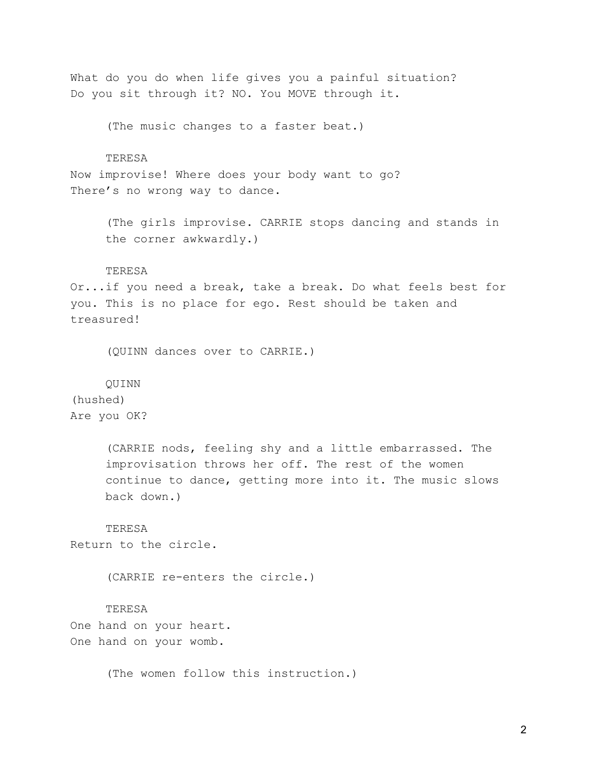What do you do when life gives you a painful situation? Do you sit through it? NO. You MOVE through it.

(The music changes to a faster beat.)

### TERESA

Now improvise! Where does your body want to go? There's no wrong way to dance.

> (The girls improvise. CARRIE stops dancing and stands in the corner awkwardly.)

#### **TERESA**

Or...if you need a break, take a break. Do what feels best for you. This is no place for ego. Rest should be taken and treasured!

(QUINN dances over to CARRIE.)

#### QUINN

(hushed) Are you OK?

> (CARRIE nods, feeling shy and a little embarrassed. The improvisation throws her off. The rest of the women continue to dance, getting more into it. The music slows back down.)

# **TERESA**

Return to the circle.

(CARRIE re-enters the circle.)

## TERESA

One hand on your heart. One hand on your womb.

(The women follow this instruction.)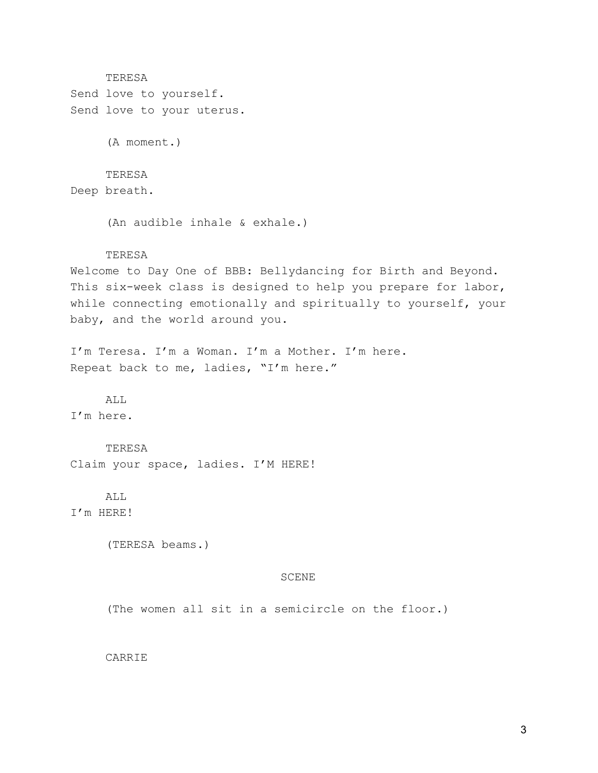TERESA Send love to yourself. Send love to your uterus. (A moment.) TERESA Deep breath. (An audible inhale & exhale.) TERESA Welcome to Day One of BBB: Bellydancing for Birth and Beyond. This six-week class is designed to help you prepare for labor, while connecting emotionally and spiritually to yourself, your baby, and the world around you. I'm Teresa. I'm a Woman. I'm a Mother. I'm here. Repeat back to me, ladies, "I'm here." ALL. I'm here. TERESA Claim your space, ladies. I'M HERE! ALL I'm HERE! (TERESA beams.) SCENE (The women all sit in a semicircle on the floor.) CARRIE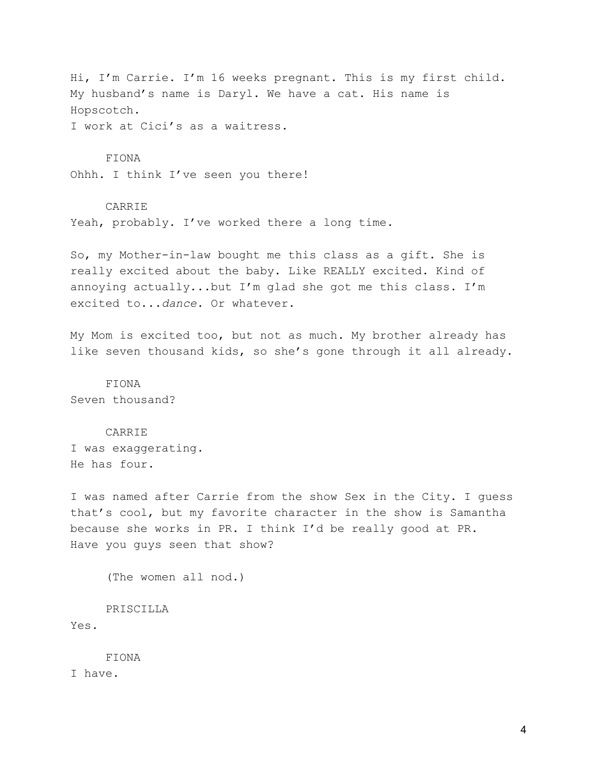Hi, I'm Carrie. I'm 16 weeks pregnant. This is my first child. My husband's name is Daryl. We have a cat. His name is Hopscotch.

I work at Cici's as a waitress.

#### FIONA

Ohhh. I think I've seen you there!

#### CARRIE

Yeah, probably. I've worked there a long time.

So, my Mother-in-law bought me this class as a gift. She is really excited about the baby. Like REALLY excited. Kind of annoying actually...but I'm glad she got me this class. I'm excited to...*dance*. Or whatever.

My Mom is excited too, but not as much. My brother already has like seven thousand kids, so she's gone through it all already.

FIONA Seven thousand?

### CARRIE

I was exaggerating. He has four.

I was named after Carrie from the show Sex in the City. I guess that's cool, but my favorite character in the show is Samantha because she works in PR. I think I'd be really good at PR. Have you guys seen that show?

(The women all nod.)

PRISCILLA

Yes.

FIONA

I have.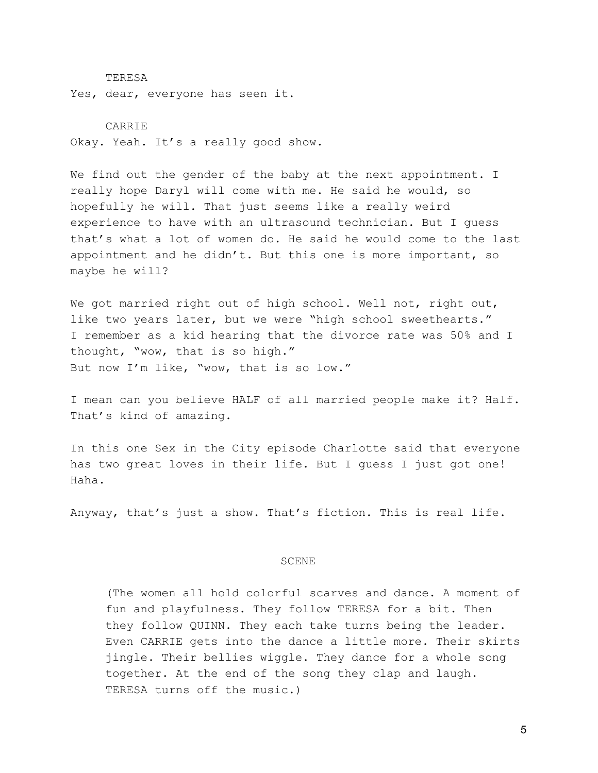TERESA Yes, dear, everyone has seen it.

CARRIE Okay. Yeah. It's a really good show.

We find out the gender of the baby at the next appointment. I really hope Daryl will come with me. He said he would, so hopefully he will. That just seems like a really weird experience to have with an ultrasound technician. But I guess that's what a lot of women do. He said he would come to the last appointment and he didn't. But this one is more important, so maybe he will?

We got married right out of high school. Well not, right out, like two years later, but we were "high school sweethearts." I remember as a kid hearing that the divorce rate was 50% and I thought, "wow, that is so high." But now I'm like, "wow, that is so low."

I mean can you believe HALF of all married people make it? Half. That's kind of amazing.

In this one Sex in the City episode Charlotte said that everyone has two great loves in their life. But I guess I just got one! Haha.

Anyway, that's just a show. That's fiction. This is real life.

#### SCENE

(The women all hold colorful scarves and dance. A moment of fun and playfulness. They follow TERESA for a bit. Then they follow QUINN. They each take turns being the leader. Even CARRIE gets into the dance a little more. Their skirts jingle. Their bellies wiggle. They dance for a whole song together. At the end of the song they clap and laugh. TERESA turns off the music.)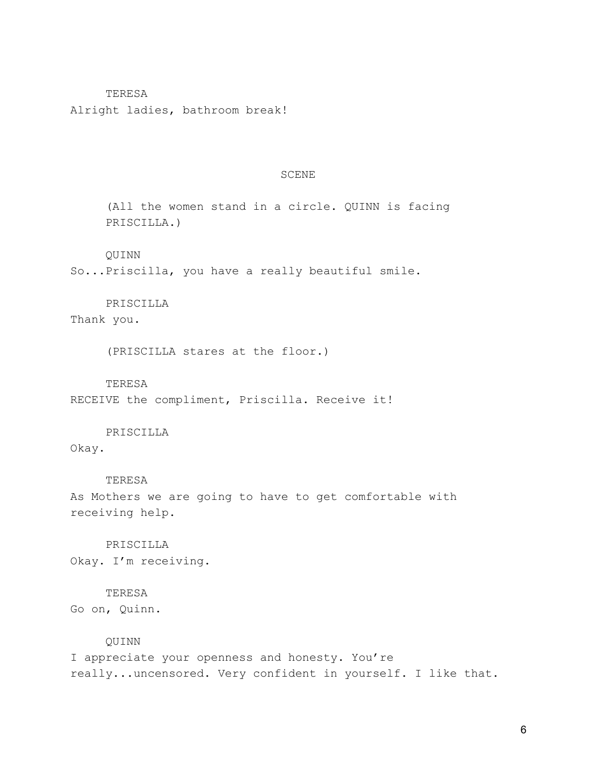## TERESA

Alright ladies, bathroom break!

#### SCENE

(All the women stand in a circle. QUINN is facing PRISCILLA.)

## QUINN

So...Priscilla, you have a really beautiful smile.

# PRISCILLA

Thank you.

(PRISCILLA stares at the floor.)

#### TERESA

RECEIVE the compliment, Priscilla. Receive it!

# PRISCILLA

Okay.

# TERESA

As Mothers we are going to have to get comfortable with receiving help.

PRISCILLA Okay. I'm receiving.

## TERESA

Go on, Quinn.

#### QUINN

I appreciate your openness and honesty. You're really...uncensored. Very confident in yourself. I like that.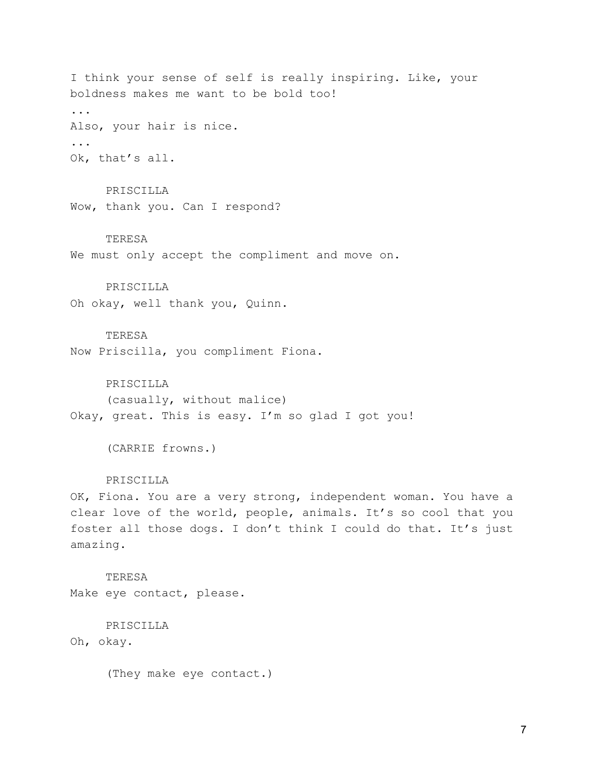I think your sense of self is really inspiring. Like, your boldness makes me want to be bold too! ... Also, your hair is nice. ... Ok, that's all.

PRISCILLA Wow, thank you. Can I respond?

## TERESA

We must only accept the compliment and move on.

## PRISCILLA

Oh okay, well thank you, Quinn.

## TERESA

Now Priscilla, you compliment Fiona.

#### PRISCILLA

(casually, without malice) Okay, great. This is easy. I'm so glad I got you!

(CARRIE frowns.)

## PRISCILLA

OK, Fiona. You are a very strong, independent woman. You have a clear love of the world, people, animals. It's so cool that you foster all those dogs. I don't think I could do that. It's just amazing.

TERESA Make eye contact, please.

PRISCILLA Oh, okay.

(They make eye contact.)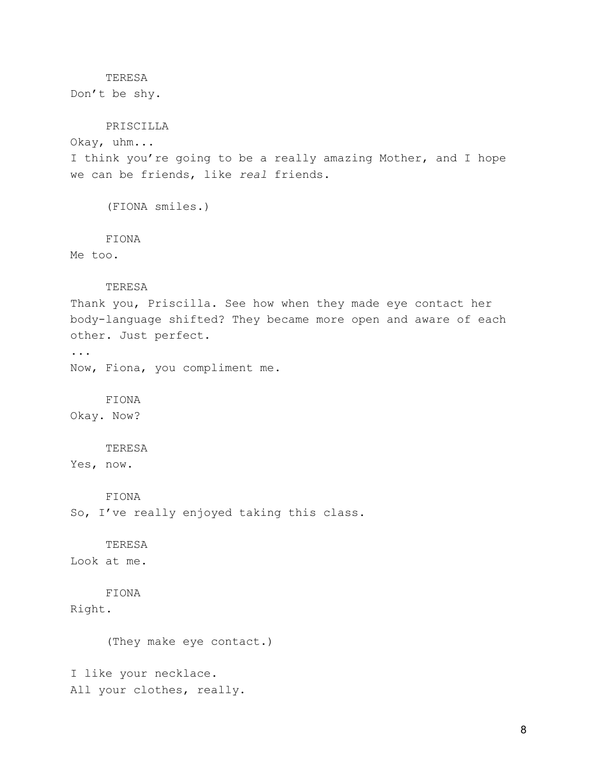## **TERESA**

Don't be shy.

# PRISCILLA

Okay, uhm...

I think you're going to be a really amazing Mother, and I hope we can be friends, like *real* friends.

(FIONA smiles.)

#### FIONA

Me too.

### TERESA

Thank you, Priscilla. See how when they made eye contact her body-language shifted? They became more open and aware of each other. Just perfect.

... Now, Fiona, you compliment me.

## FIONA

Okay. Now?

#### TERESA

Yes, now.

#### FIONA

So, I've really enjoyed taking this class.

## TERESA

Look at me.

# FIONA

Right.

(They make eye contact.)

I like your necklace. All your clothes, really.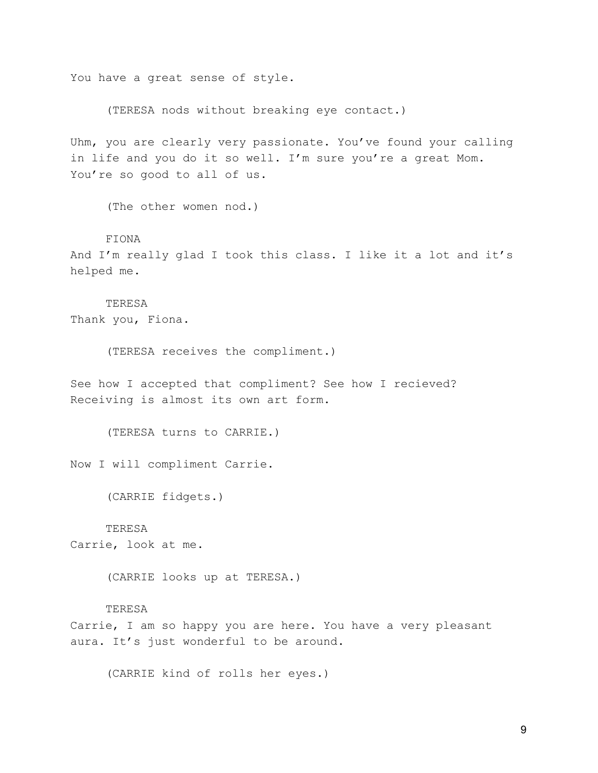You have a great sense of style.

(TERESA nods without breaking eye contact.)

Uhm, you are clearly very passionate. You've found your calling in life and you do it so well. I'm sure you're a great Mom. You're so good to all of us.

(The other women nod.)

FIONA

And I'm really glad I took this class. I like it a lot and it's helped me.

TERESA Thank you, Fiona.

(TERESA receives the compliment.)

See how I accepted that compliment? See how I recieved? Receiving is almost its own art form.

(TERESA turns to CARRIE.)

Now I will compliment Carrie.

(CARRIE fidgets.)

## TERESA

Carrie, look at me.

(CARRIE looks up at TERESA.)

## TERESA

Carrie, I am so happy you are here. You have a very pleasant aura. It's just wonderful to be around.

(CARRIE kind of rolls her eyes.)